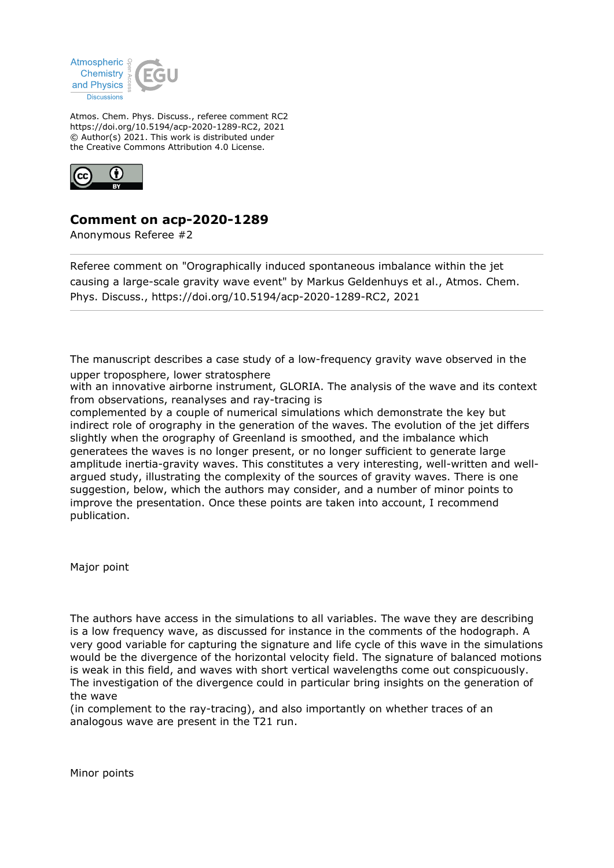

Atmos. Chem. Phys. Discuss., referee comment RC2 https://doi.org/10.5194/acp-2020-1289-RC2, 2021 © Author(s) 2021. This work is distributed under the Creative Commons Attribution 4.0 License.



## **Comment on acp-2020-1289**

Anonymous Referee #2

Referee comment on "Orographically induced spontaneous imbalance within the jet causing a large-scale gravity wave event" by Markus Geldenhuys et al., Atmos. Chem. Phys. Discuss., https://doi.org/10.5194/acp-2020-1289-RC2, 2021

The manuscript describes a case study of a low-frequency gravity wave observed in the upper troposphere, lower stratosphere

with an innovative airborne instrument, GLORIA. The analysis of the wave and its context from observations, reanalyses and ray-tracing is

complemented by a couple of numerical simulations which demonstrate the key but indirect role of orography in the generation of the waves. The evolution of the jet differs slightly when the orography of Greenland is smoothed, and the imbalance which generatees the waves is no longer present, or no longer sufficient to generate large amplitude inertia-gravity waves. This constitutes a very interesting, well-written and wellargued study, illustrating the complexity of the sources of gravity waves. There is one suggestion, below, which the authors may consider, and a number of minor points to improve the presentation. Once these points are taken into account, I recommend publication.

Major point

The authors have access in the simulations to all variables. The wave they are describing is a low frequency wave, as discussed for instance in the comments of the hodograph. A very good variable for capturing the signature and life cycle of this wave in the simulations would be the divergence of the horizontal velocity field. The signature of balanced motions is weak in this field, and waves with short vertical wavelengths come out conspicuously. The investigation of the divergence could in particular bring insights on the generation of the wave

(in complement to the ray-tracing), and also importantly on whether traces of an analogous wave are present in the T21 run.

Minor points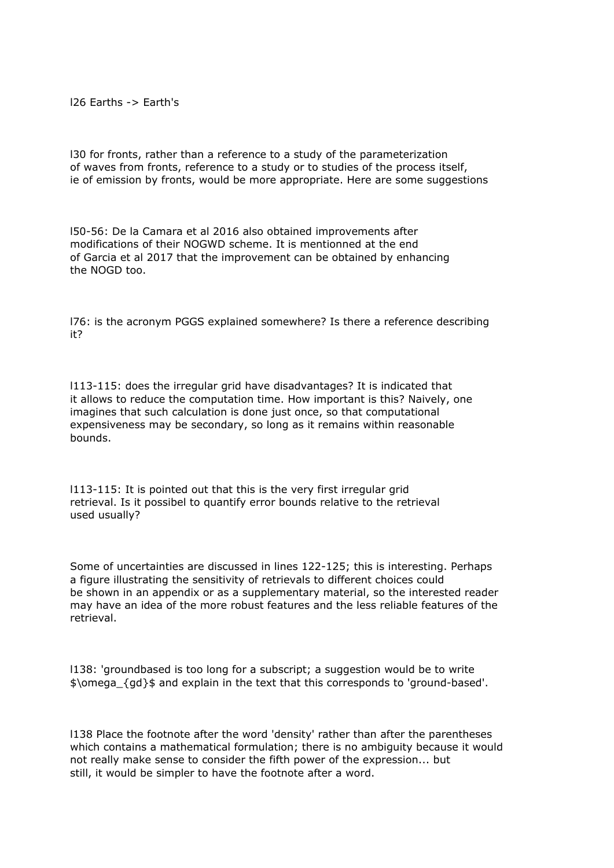l26 Earths -> Earth's

l30 for fronts, rather than a reference to a study of the parameterization of waves from fronts, reference to a study or to studies of the process itself, ie of emission by fronts, would be more appropriate. Here are some suggestions

l50-56: De la Camara et al 2016 also obtained improvements after modifications of their NOGWD scheme. It is mentionned at the end of Garcia et al 2017 that the improvement can be obtained by enhancing the NOGD too.

l76: is the acronym PGGS explained somewhere? Is there a reference describing it?

l113-115: does the irregular grid have disadvantages? It is indicated that it allows to reduce the computation time. How important is this? Naively, one imagines that such calculation is done just once, so that computational expensiveness may be secondary, so long as it remains within reasonable bounds.

l113-115: It is pointed out that this is the very first irregular grid retrieval. Is it possibel to quantify error bounds relative to the retrieval used usually?

Some of uncertainties are discussed in lines 122-125; this is interesting. Perhaps a figure illustrating the sensitivity of retrievals to different choices could be shown in an appendix or as a supplementary material, so the interested reader may have an idea of the more robust features and the less reliable features of the retrieval.

l138: 'groundbased is too long for a subscript; a suggestion would be to write \$\omega\_{gd}\$ and explain in the text that this corresponds to 'ground-based'.

l138 Place the footnote after the word 'density' rather than after the parentheses which contains a mathematical formulation; there is no ambiguity because it would not really make sense to consider the fifth power of the expression... but still, it would be simpler to have the footnote after a word.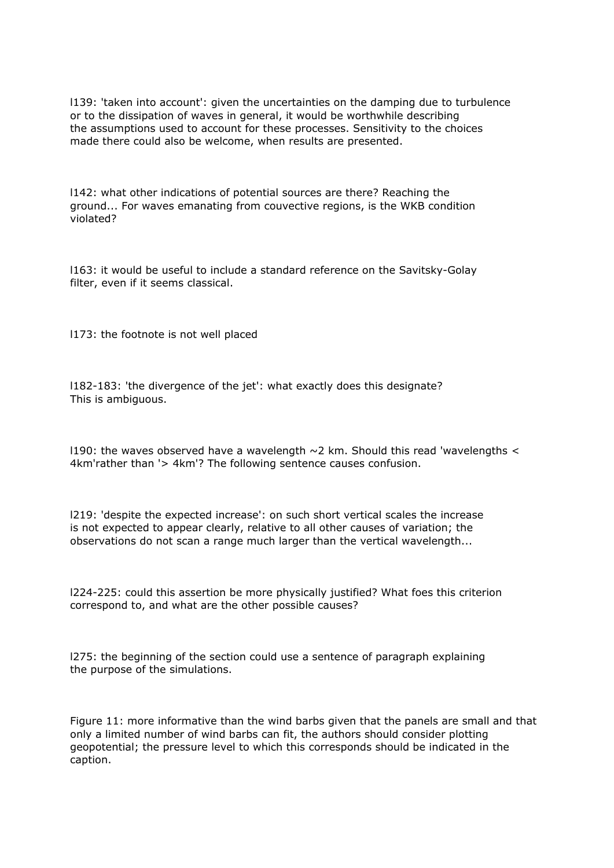l139: 'taken into account': given the uncertainties on the damping due to turbulence or to the dissipation of waves in general, it would be worthwhile describing the assumptions used to account for these processes. Sensitivity to the choices made there could also be welcome, when results are presented.

l142: what other indications of potential sources are there? Reaching the ground... For waves emanating from couvective regions, is the WKB condition violated?

l163: it would be useful to include a standard reference on the Savitsky-Golay filter, even if it seems classical.

l173: the footnote is not well placed

l182-183: 'the divergence of the jet': what exactly does this designate? This is ambiguous.

1190: the waves observed have a wavelength  $\sim$  2 km. Should this read 'wavelengths  $\lt$ 4km'rather than '> 4km'? The following sentence causes confusion.

l219: 'despite the expected increase': on such short vertical scales the increase is not expected to appear clearly, relative to all other causes of variation; the observations do not scan a range much larger than the vertical wavelength...

l224-225: could this assertion be more physically justified? What foes this criterion correspond to, and what are the other possible causes?

l275: the beginning of the section could use a sentence of paragraph explaining the purpose of the simulations.

Figure 11: more informative than the wind barbs given that the panels are small and that only a limited number of wind barbs can fit, the authors should consider plotting geopotential; the pressure level to which this corresponds should be indicated in the caption.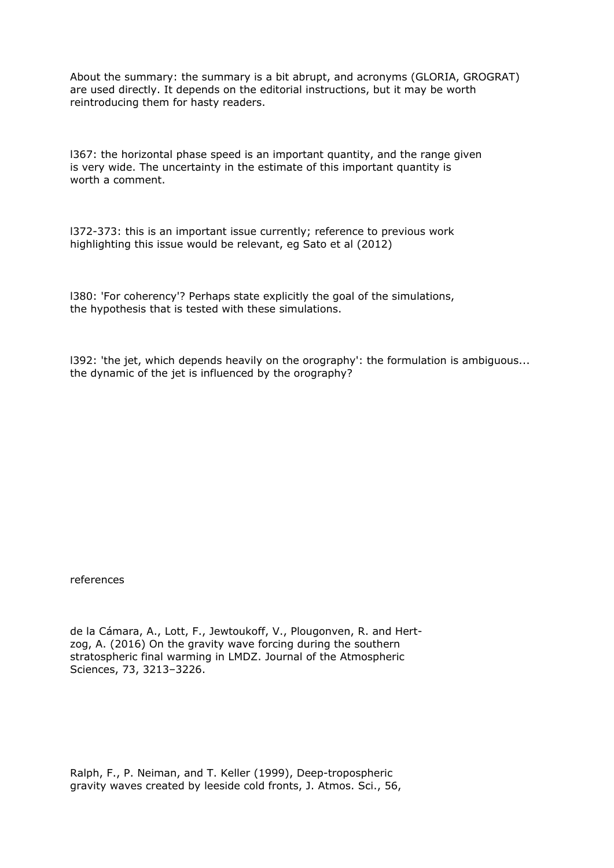About the summary: the summary is a bit abrupt, and acronyms (GLORIA, GROGRAT) are used directly. It depends on the editorial instructions, but it may be worth reintroducing them for hasty readers.

l367: the horizontal phase speed is an important quantity, and the range given is very wide. The uncertainty in the estimate of this important quantity is worth a comment.

l372-373: this is an important issue currently; reference to previous work highlighting this issue would be relevant, eg Sato et al (2012)

l380: 'For coherency'? Perhaps state explicitly the goal of the simulations, the hypothesis that is tested with these simulations.

l392: 'the jet, which depends heavily on the orography': the formulation is ambiguous... the dynamic of the jet is influenced by the orography?

references

de la Cámara, A., Lott, F., Jewtoukoff, V., Plougonven, R. and Hertzog, A. (2016) On the gravity wave forcing during the southern stratospheric final warming in LMDZ. Journal of the Atmospheric Sciences, 73, 3213–3226.

Ralph, F., P. Neiman, and T. Keller (1999), Deep-tropospheric gravity waves created by leeside cold fronts, J. Atmos. Sci., 56,